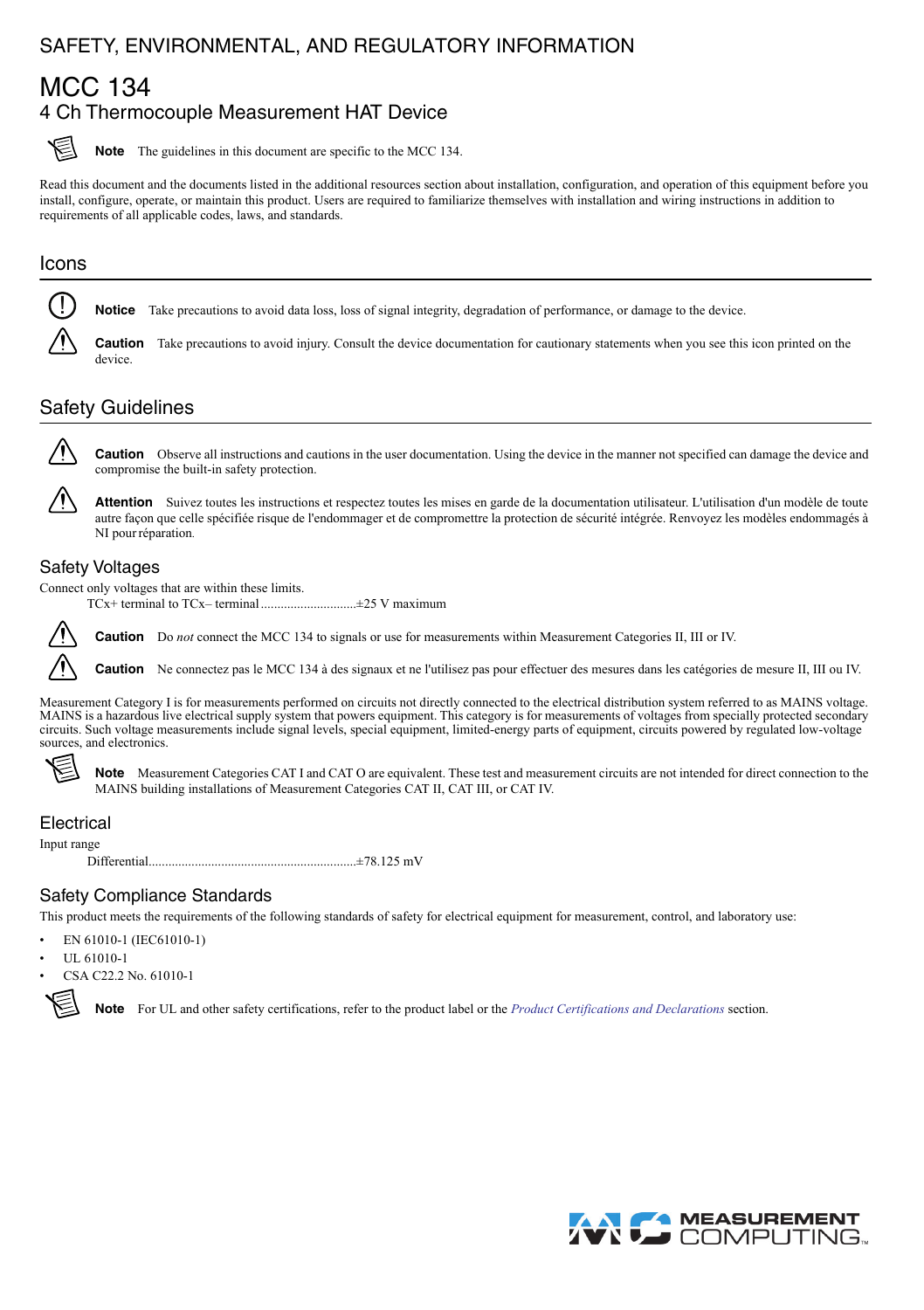## <span id="page-0-0"></span>SAFETY, ENVIRONMENTAL, AND REGULATORY INFORMATION

## MCC 134 4 Ch Thermocouple Measurement HAT Device



**Note** The guidelines in this document are specific to the MCC 134.

Read this document and the documents listed in the additional resources section about installation, configuration, and operation of this equipment before you install, configure, operate, or maintain this product. Users are required to familiarize themselves with installation and wiring instructions in addition to requirements of all applicable codes, laws, and standards.

# Icons !

**Notice** Take precautions to avoid data loss, loss of signal integrity, degradation of performance, or damage to the device.

**Caution** Take precautions to avoid injury. Consult the device documentation for cautionary statements when you see this icon printed on the device.

## Safety Guidelines



**Caution** Observe all instructions and cautions in the user documentation. Using the device in the manner not specified can damage the device and compromise the built-in safety protection.

**Attention** Suivez toutes les instructions et respectez toutes les mises en garde de la documentation utilisateur. L'utilisation d'un modèle de toute autre façon que celle spécifiée risque de l'endommager et de compromettre la protection de sécurité intégrée. Renvoyez les modèles endommagés à NI pour réparation.

#### Safety Voltages

Connect only voltages that are within these limits.

TCx+ terminal to TCx– terminal .............................±25 V maximum



**Caution** Do *not* connect the MCC 134 to signals or use for measurements within Measurement Categories II, III or IV.

**Caution** Ne connectez pas le MCC 134 à des signaux et ne l'utilisez pas pour effectuer des mesures dans les catégories de mesure II, III ou IV.

Measurement Category I is for measurements performed on circuits not directly connected to the electrical distribution system referred to as MAINS voltage. MAINS is a hazardous live electrical supply system that powers equipment. This category is for measurements of voltages from specially protected secondary<br>circuits. Such voltage measurements include signal levels, special sources, and electronics.



Note Measurement Categories CAT I and CAT O are equivalent. These test and measurement circuits are not intended for direct connection to the MAINS building installations of Measurement Categories CAT II, CAT III, or CAT IV.

#### Electrical

Input range

Differential...............................................................±78.125 mV

#### Safety Compliance Standards

This product meets the requirements of the following standards of safety for electrical equipment for measurement, control, and laboratory use:

- EN 61010-1 (IEC61010-1)
- UL 61010-1
- CSA C22.2 No. 61010-1



**Note** For UL and other safety certifications, refer to the product label or the *[Product Certifications and Declarations](#page-2-0)* section.

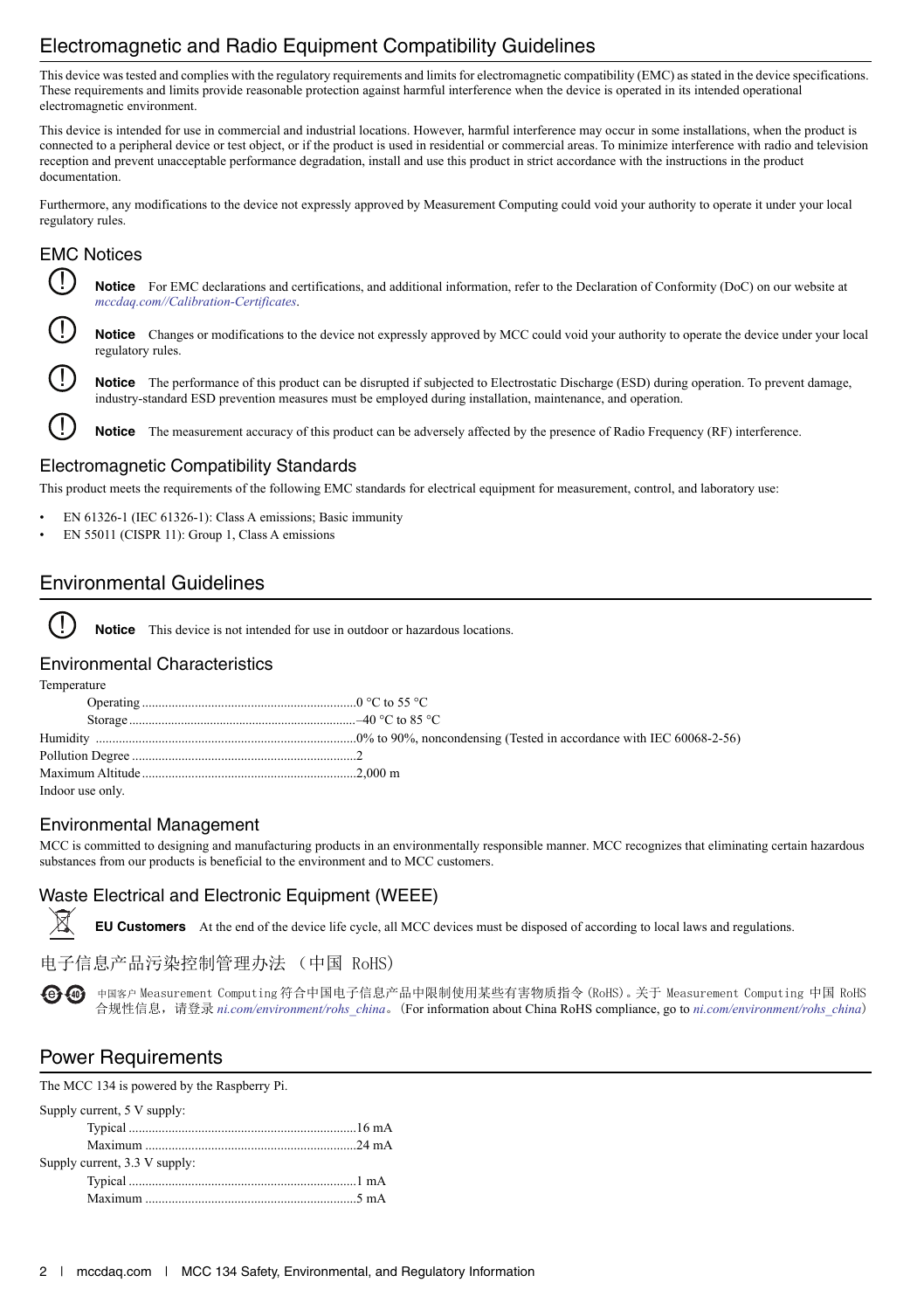## Electromagnetic and Radio Equipment Compatibility Guidelines

This device was tested and complies with the regulatory requirements and limits for electromagnetic compatibility (EMC) as stated in the device specifications. These requirements and limits provide reasonable protection against harmful interference when the device is operated in its intended operational electromagnetic environment.

This device is intended for use in commercial and industrial locations. However, harmful interference may occur in some installations, when the product is connected to a peripheral device or test object, or if the product is used in residential or commercial areas. To minimize interference with radio and television reception and prevent unacceptable performance degradation, install and use this product in strict accordance with the instructions in the product documentation.

Furthermore, any modifications to the device not expressly approved by Measurement Computing could void your authority to operate it under your local regulatory rules.

### EMC Notices



!

!

**Notice** For EMC declarations and certifications, and additional information, refer to the Declaration of Conformity (DoC) on our website at *[mccdaq.com//Calibration-Certificates](https://www.mccdaq.com/Calibration-Certificates)*.

Notice Changes or modifications to the device not expressly approved by MCC could void your authority to operate the device under your local regulatory rules. !

**Notice** The performance of this product can be disrupted if subjected to Electrostatic Discharge (ESD) during operation. To prevent damage, industry-standard ESD prevention measures must be employed during installation, maintenance, and operation.

**Notice** The measurement accuracy of this product can be adversely affected by the presence of Radio Frequency (RF) interference.

#### Electromagnetic Compatibility Standards

This product meets the requirements of the following EMC standards for electrical equipment for measurement, control, and laboratory use:

- EN 61326-1 (IEC 61326-1): Class A emissions; Basic immunity
- EN 55011 (CISPR 11): Group 1, Class A emissions

### Environmental Guidelines

**Notice** This device is not intended for use in outdoor or hazardous locations.

#### Environmental Characteristics

Temperature

!

| Indoor use only. |  |
|------------------|--|
|                  |  |

#### Environmental Management

MCC is committed to designing and manufacturing products in an environmentally responsible manner. MCC recognizes that eliminating certain hazardous substances from our products is beneficial to the environment and to MCC customers.

#### Waste Electrical and Electronic Equipment (WEEE)

**EU Customers** At the end of the device life cycle, all MCC devices must be disposed of according to local laws and regulations.

### 电子信息产品污染控制管理办法 (中国 RoHS)

 $\overline{\Theta}$   $\overline{\Theta}$  中国客户 Measurement Computing 符合中国电子信息产品中限制使用某些有害物质指令 (RoHS)。关于 Measurement Computing 中国 RoHS 合规性信息,请登录 [ni.com/environment/rohs\\_china](https://www.ni.com/environment/rohs_china.htm)。(For information about China RoHS compliance, go to *ni.com/environment/rohs\_china*)

## Power Requirements

The MCC 134 is powered by the Raspberry Pi.

| Supply current, 5 V supply:   |  |
|-------------------------------|--|
|                               |  |
|                               |  |
| Supply current, 3.3 V supply: |  |
|                               |  |
|                               |  |